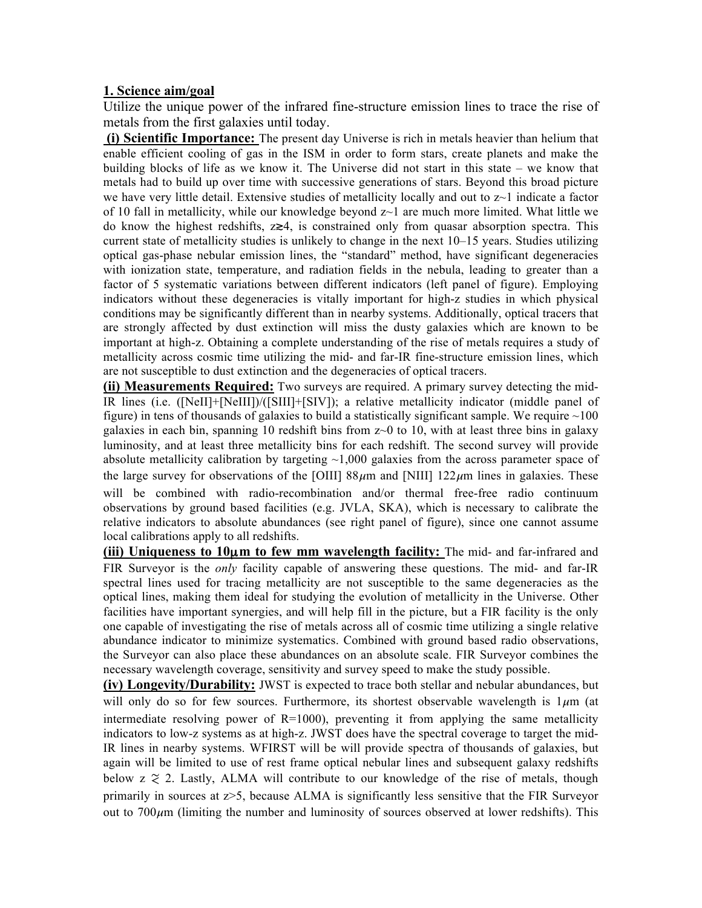## **1. Science aim/goal**

Utilize the unique power of the infrared fine-structure emission lines to trace the rise of metals from the first galaxies until today.

**(i) Scientific Importance:** The present day Universe is rich in metals heavier than helium that enable efficient cooling of gas in the ISM in order to form stars, create planets and make the building blocks of life as we know it. The Universe did not start in this state – we know that metals had to build up over time with successive generations of stars. Beyond this broad picture we have very little detail. Extensive studies of metallicity locally and out to  $z\sim1$  indicate a factor of 10 fall in metallicity, while our knowledge beyond  $z<sub>1</sub>$  are much more limited. What little we do know the highest redshifts, z≳4, is constrained only from quasar absorption spectra. This current state of metallicity studies is unlikely to change in the next 10–15 years. Studies utilizing optical gas-phase nebular emission lines, the "standard" method, have significant degeneracies with ionization state, temperature, and radiation fields in the nebula, leading to greater than a factor of 5 systematic variations between different indicators (left panel of figure). Employing indicators without these degeneracies is vitally important for high-z studies in which physical conditions may be significantly different than in nearby systems. Additionally, optical tracers that are strongly affected by dust extinction will miss the dusty galaxies which are known to be important at high-z. Obtaining a complete understanding of the rise of metals requires a study of metallicity across cosmic time utilizing the mid- and far-IR fine-structure emission lines, which are not susceptible to dust extinction and the degeneracies of optical tracers.

**(ii) Measurements Required:** Two surveys are required. A primary survey detecting the mid-IR lines (i.e. ([NeII]+[NeIII])/([SIII]+[SIV]); a relative metallicity indicator (middle panel of figure) in tens of thousands of galaxies to build a statistically significant sample. We require  $\sim$ 100 galaxies in each bin, spanning 10 redshift bins from  $z$  to 10, with at least three bins in galaxy luminosity, and at least three metallicity bins for each redshift. The second survey will provide absolute metallicity calibration by targeting  $\sim$ 1,000 galaxies from the across parameter space of the large survey for observations of the [OIII]  $88\mu$ m and [NIII]  $122\mu$ m lines in galaxies. These will be combined with radio-recombination and/or thermal free-free radio continuum observations by ground based facilities (e.g. JVLA, SKA), which is necessary to calibrate the relative indicators to absolute abundances (see right panel of figure), since one cannot assume local calibrations apply to all redshifts.

**(iii) Uniqueness to 10**µ**m to few mm wavelength facility:** The mid- and far-infrared and FIR Surveyor is the *only* facility capable of answering these questions. The mid- and far-IR spectral lines used for tracing metallicity are not susceptible to the same degeneracies as the optical lines, making them ideal for studying the evolution of metallicity in the Universe. Other facilities have important synergies, and will help fill in the picture, but a FIR facility is the only one capable of investigating the rise of metals across all of cosmic time utilizing a single relative abundance indicator to minimize systematics. Combined with ground based radio observations, the Surveyor can also place these abundances on an absolute scale. FIR Surveyor combines the necessary wavelength coverage, sensitivity and survey speed to make the study possible.

**(iv) Longevity/Durability:** JWST is expected to trace both stellar and nebular abundances, but will only do so for few sources. Furthermore, its shortest observable wavelength is  $1\mu m$  (at intermediate resolving power of  $R=1000$ , preventing it from applying the same metallicity indicators to low-z systems as at high-z. JWST does have the spectral coverage to target the mid-IR lines in nearby systems. WFIRST will be will provide spectra of thousands of galaxies, but again will be limited to use of rest frame optical nebular lines and subsequent galaxy redshifts below  $z \approx 2$ . Lastly, ALMA will contribute to our knowledge of the rise of metals, though primarily in sources at z>5, because ALMA is significantly less sensitive that the FIR Surveyor out to  $700 \mu m$  (limiting the number and luminosity of sources observed at lower redshifts). This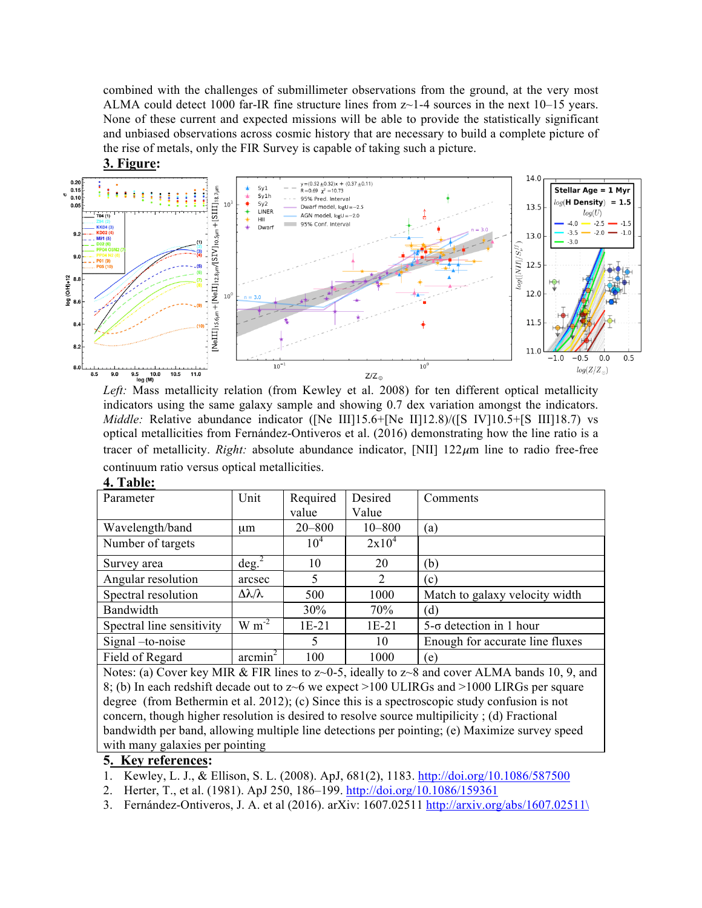combined with the challenges of submillimeter observations from the ground, at the very most ALMA could detect 1000 far-IR fine structure lines from  $z$  -1-4 sources in the next 10–15 years. None of these current and expected missions will be able to provide the statistically significant and unbiased observations across cosmic history that are necessary to build a complete picture of the rise of metals, only the FIR Survey is capable of taking such a picture.



*Left:* Mass metallicity relation (from Kewley et al. 2008) for ten different optical metallicity indicators using the same galaxy sample and showing 0.7 dex variation amongst the indicators. *Middle:* Relative abundance indicator ([Ne III]15.6+[Ne II]12.8)/([S IV]10.5+[S III]18.7) vs optical metallicities from Fernández-Ontiveros et al. (2016) demonstrating how the line ratio is a tracer of metallicity. *Right:* absolute abundance indicator, [NII]  $122 \mu m$  line to radio free-free continuum ratio versus optical metallicities.

| Parameter                                                                                         | Unit                    | Required        | Desired    | Comments                        |
|---------------------------------------------------------------------------------------------------|-------------------------|-----------------|------------|---------------------------------|
|                                                                                                   |                         | value           | Value      |                                 |
| Wavelength/band                                                                                   | um                      | $20 - 800$      | $10 - 800$ | (a)                             |
| Number of targets                                                                                 |                         | 10 <sup>4</sup> | $2x10^4$   |                                 |
| Survey area                                                                                       | $\text{deg.}^2$         | 10              | 20         | (b)                             |
| Angular resolution                                                                                | arcsec                  | 5               | 2          | (c)                             |
| Spectral resolution                                                                               | $\Delta\lambda/\lambda$ | 500             | 1000       | Match to galaxy velocity width  |
| Bandwidth                                                                                         |                         | 30%             | 70%        | (d)                             |
| Spectral line sensitivity                                                                         | $W m^{-2}$              | $1E-21$         | $1E-21$    | $5-\sigma$ detection in 1 hour  |
| Signal -to-noise                                                                                  |                         | $\mathcal{F}$   | 10         | Enough for accurate line fluxes |
| Field of Regard                                                                                   | $\arcsin^2$             | 100             | 1000       | (e)                             |
| Notes: (a) Cover key MIR & FIR lines to z~0-5, ideally to z~8 and cover ALMA bands 10, 9, and     |                         |                 |            |                                 |
| 8; (b) In each redshift decade out to $z \sim 6$ we expect >100 ULIRGs and >1000 LIRGs per square |                         |                 |            |                                 |
| degree (from Bethermin et al. 2012); (c) Since this is a spectroscopic study confusion is not     |                         |                 |            |                                 |

**4. Table:**

degree (from Bethermin et al. 2012); (c) Since this is a spectroscopic study confusion is not concern, though higher resolution is desired to resolve source multipilicity ; (d) Fractional bandwidth per band, allowing multiple line detections per pointing; (e) Maximize survey speed with many galaxies per pointing

# **5. Key references:**

- 1. Kewley, L. J., & Ellison, S. L. (2008). ApJ, 681(2), 1183. http://doi.org/10.1086/587500
- 2. Herter, T., et al. (1981). ApJ 250, 186–199. http://doi.org/10.1086/159361
- 3. Fernández-Ontiveros, J. A. et al (2016). arXiv: 1607.02511 http://arxiv.org/abs/1607.02511\